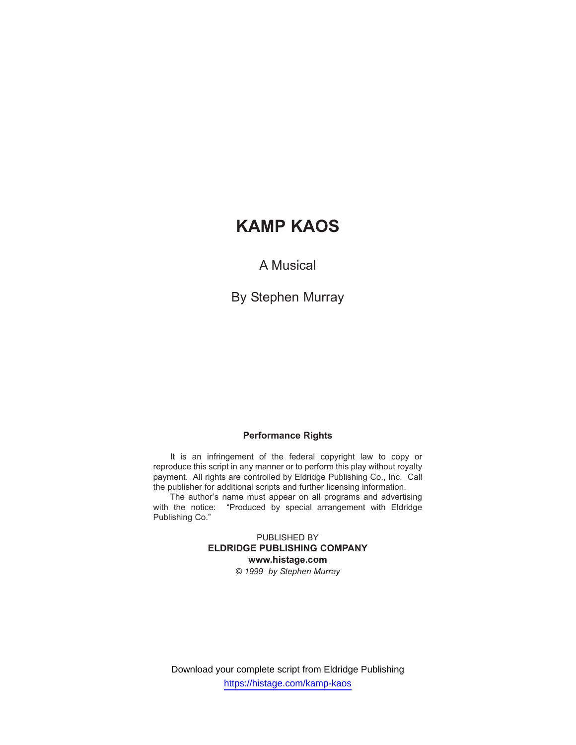A Musical

By Stephen Murray

## **Performance Rights**

It is an infringement of the federal copyright law to copy or reproduce this script in any manner or to perform this play without royalty payment. All rights are controlled by Eldridge Publishing Co., Inc. Call the publisher for additional scripts and further licensing information.

The author's name must appear on all programs and advertising with the notice: "Produced by special arrangement with Eldridge Publishing Co."

> PUBLISHED BY **ELDRIDGE PUBLISHING COMPANY www.histage.com** *© 1999 by Stephen Murray*

Download your complete script from Eldridge Publishing https://histage.com/kamp-kaos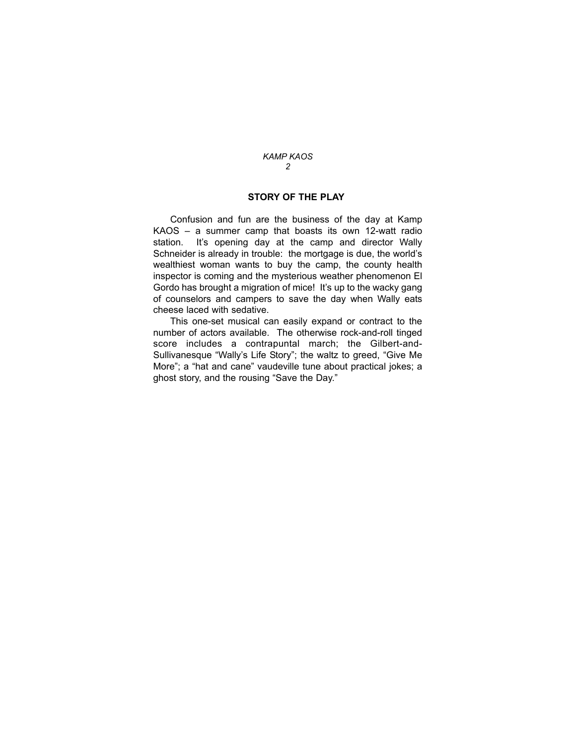## **STORY OF THE PLAY**

Confusion and fun are the business of the day at Kamp KAOS – a summer camp that boasts its own 12-watt radio station. It's opening day at the camp and director Wally Schneider is already in trouble: the mortgage is due, the world's wealthiest woman wants to buy the camp, the county health inspector is coming and the mysterious weather phenomenon El Gordo has brought a migration of mice! It's up to the wacky gang of counselors and campers to save the day when Wally eats cheese laced with sedative.

This one-set musical can easily expand or contract to the number of actors available. The otherwise rock-and-roll tinged score includes a contrapuntal march; the Gilbert-and-Sullivanesque "Wally's Life Story"; the waltz to greed, "Give Me More"; a "hat and cane" vaudeville tune about practical jokes; a ghost story, and the rousing "Save the Day."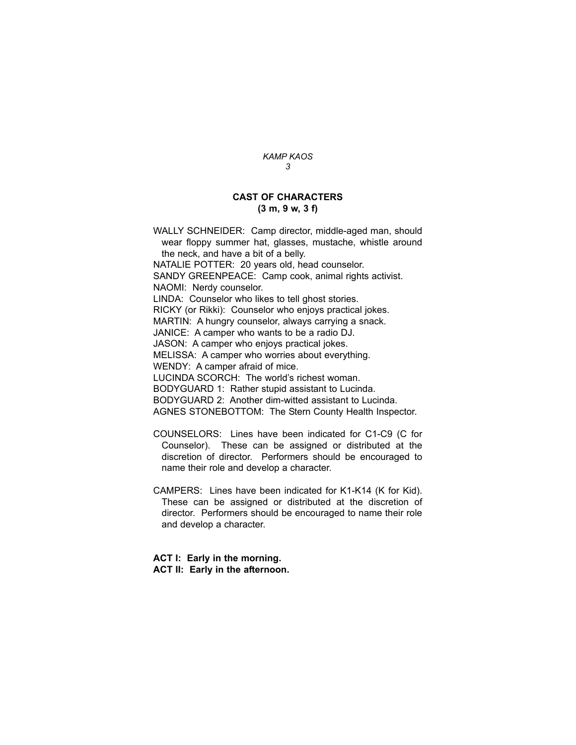#### **CAST OF CHARACTERS (3 m, 9 w, 3 f)**

WALLY SCHNEIDER: Camp director, middle-aged man, should wear floppy summer hat, glasses, mustache, whistle around the neck, and have a bit of a belly.

NATALIE POTTER: 20 years old, head counselor.

SANDY GREENPEACE: Camp cook, animal rights activist.

NAOMI: Nerdy counselor.

LINDA: Counselor who likes to tell ghost stories.

RICKY (or Rikki): Counselor who enjoys practical jokes.

MARTIN: A hungry counselor, always carrying a snack.

JANICE: A camper who wants to be a radio DJ.

JASON: A camper who enjoys practical jokes.

MELISSA: A camper who worries about everything.

WENDY: A camper afraid of mice.

LUCINDA SCORCH: The world's richest woman.

BODYGUARD 1: Rather stupid assistant to Lucinda.

BODYGUARD 2: Another dim-witted assistant to Lucinda.

AGNES STONEBOTTOM: The Stern County Health Inspector.

- COUNSELORS: Lines have been indicated for C1-C9 (C for Counselor). These can be assigned or distributed at the discretion of director. Performers should be encouraged to name their role and develop a character.
- CAMPERS: Lines have been indicated for K1-K14 (K for Kid). These can be assigned or distributed at the discretion of director. Performers should be encouraged to name their role and develop a character.

**ACT I: Early in the morning. ACT II: Early in the afternoon.**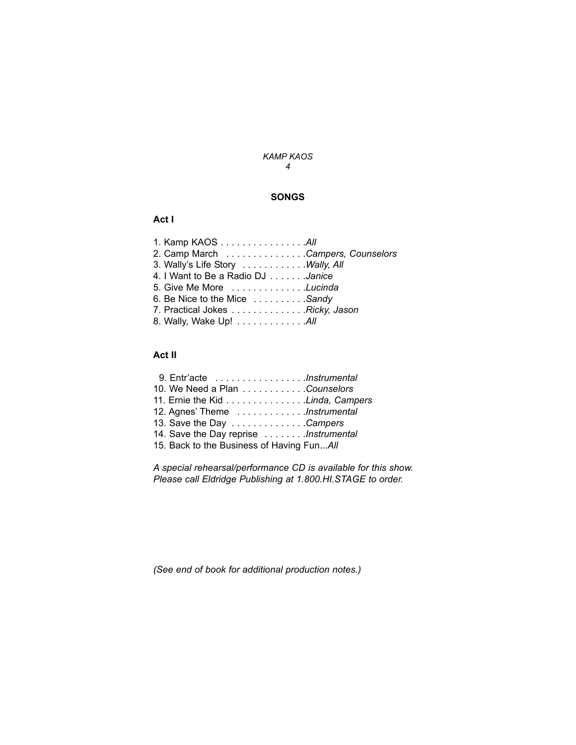## **SONGS**

## **Act I**

| 1. Kamp KAOS All                  |  |
|-----------------------------------|--|
| 2. Camp March Campers, Counselors |  |
| 3. Wally's Life Story Wally, All  |  |
| 4. I Want to Be a Radio DJ Janice |  |
| 5. Give Me More Lucinda           |  |
| 6. Be Nice to the Mice Sandy      |  |
| 7. Practical Jokes Ricky, Jason   |  |
| 8. Wally, Wake Up! All            |  |
|                                   |  |

# **Act II**

| 10. We Need a Plan Counselors             |  |
|-------------------------------------------|--|
| 11. Ernie the Kid Linda, Campers          |  |
| 12. Agnes' Theme Instrumental             |  |
| 13. Save the Day Campers                  |  |
| 14. Save the Day reprise Instrumental     |  |
| 15. Back to the Business of Having FunAll |  |
|                                           |  |

*A special rehearsal/performance CD is available for this show. Please call Eldridge Publishing at 1.800.HI.STAGE to order.*

*(See end of book for additional production notes.)*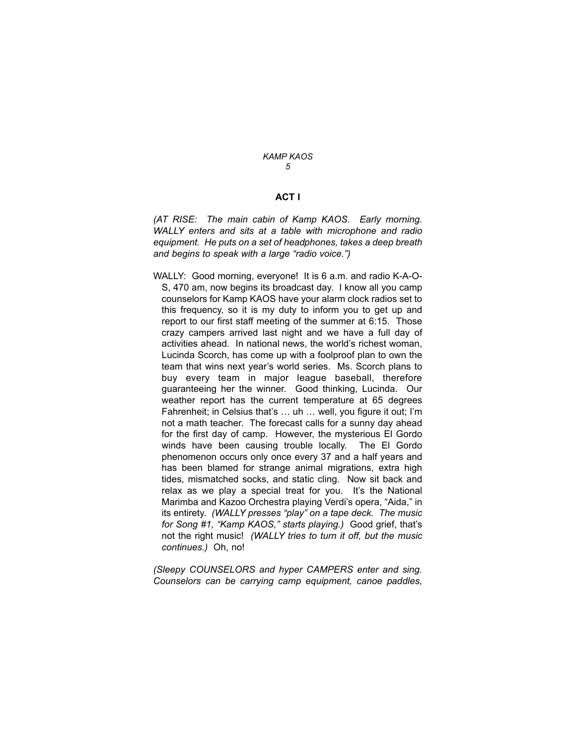### **ACT I**

*(AT RISE: The main cabin of Kamp KAOS. Early morning. WALLY enters and sits at a table with microphone and radio equipment. He puts on a set of headphones, takes a deep breath and begins to speak with a large "radio voice.")*

WALLY: Good morning, everyone! It is 6 a.m. and radio K-A-O-S, 470 am, now begins its broadcast day. I know all you camp counselors for Kamp KAOS have your alarm clock radios set to this frequency, so it is my duty to inform you to get up and report to our first staff meeting of the summer at 6:15. Those crazy campers arrived last night and we have a full day of activities ahead. In national news, the world's richest woman, Lucinda Scorch, has come up with a foolproof plan to own the team that wins next year's world series. Ms. Scorch plans to buy every team in major league baseball, therefore guaranteeing her the winner. Good thinking, Lucinda. Our weather report has the current temperature at 65 degrees Fahrenheit; in Celsius that's … uh … well, you figure it out; I'm not a math teacher. The forecast calls for a sunny day ahead for the first day of camp. However, the mysterious El Gordo winds have been causing trouble locally. The El Gordo phenomenon occurs only once every 37 and a half years and has been blamed for strange animal migrations, extra high tides, mismatched socks, and static cling*.* Now sit back and relax as we play a special treat for you. It's the National Marimba and Kazoo Orchestra playing Verdi's opera, "Aida," in its entirety. *(WALLY presses "play" on a tape deck. The music for Song #1, "Kamp KAOS," starts playing.)* Good grief, that's not the right music! *(WALLY tries to turn it off, but the music continues.)* Oh, no!

*(Sleepy COUNSELORS and hyper CAMPERS enter and sing. Counselors can be carrying camp equipment, canoe paddles,*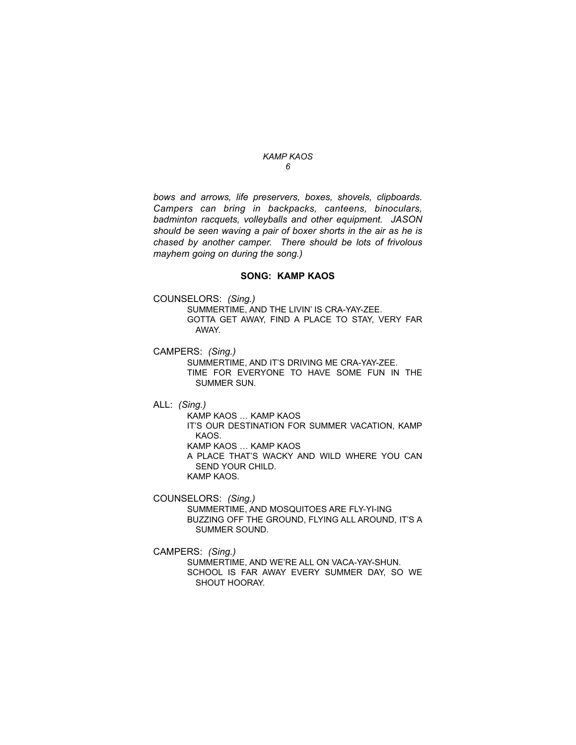*bows and arrows, life preservers, boxes, shovels, clipboards. Campers can bring in backpacks, canteens, binoculars, badminton racquets, volleyballs and other equipment. JASON should be seen waving a pair of boxer shorts in the air as he is chased by another camper. There should be lots of frivolous mayhem going on during the song.)*

#### **SONG: KAMP KAOS**

COUNSELORS: *(Sing.)* 

SUMMERTIME, AND THE LIVIN' IS CRA-YAY-ZEE. GOTTA GET AWAY, FIND A PLACE TO STAY, VERY FAR AWAY.

CAMPERS: *(Sing.)* 

SUMMERTIME, AND IT'S DRIVING ME CRA-YAY-ZEE. TIME FOR EVERYONE TO HAVE SOME FUN IN THE SUMMER SUN.

ALL: *(Sing.)* 

KAMP KAOS … KAMP KAOS IT'S OUR DESTINATION FOR SUMMER VACATION, KAMP KAOS. KAMP KAOS … KAMP KAOS A PLACE THAT'S WACKY AND WILD WHERE YOU CAN SEND YOUR CHILD. KAMP KAOS.

COUNSELORS: *(Sing.)* 

SUMMERTIME, AND MOSQUITOES ARE FLY-YI-ING BUZZING OFF THE GROUND, FLYING ALL AROUND, IT'S A SUMMER SOUND.

CAMPERS: *(Sing.)* 

SUMMERTIME, AND WE'RE ALL ON VACA-YAY-SHUN. SCHOOL IS FAR AWAY EVERY SUMMER DAY, SO WE SHOUT HOORAY.